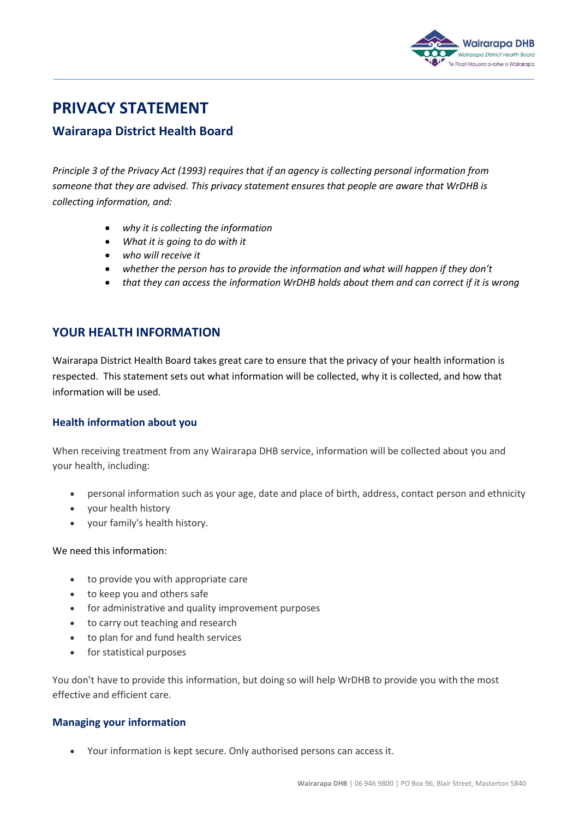

# **PRIVACY STATEMENT**

## **Wairarapa District Health Board**

*Principle 3 of the Privacy Act (1993) requires that if an agency is collecting personal information from someone that they are advised. This privacy statement ensures that people are aware that WrDHB is collecting information, and:*

- *why it is collecting the information*
- *What it is going to do with it*
- *who will receive it*
- *whether the person has to provide the information and what will happen if they don't*
- *that they can access the information WrDHB holds about them and can correct if it is wrong*

## **YOUR HEALTH INFORMATION**

Wairarapa District Health Board takes great care to ensure that the privacy of your health information is respected. This statement sets out what information will be collected, why it is collected, and how that information will be used.

#### **Health information about you**

When receiving treatment from any Wairarapa DHB service, information will be collected about you and your health, including:

- personal information such as your age, date and place of birth, address, contact person and ethnicity
- your health history
- your family's health history.

#### We need this information:

- to provide you with appropriate care
- to keep you and others safe
- for administrative and quality improvement purposes
- to carry out teaching and research
- to plan for and fund health services
- for statistical purposes

You don't have to provide this information, but doing so will help WrDHB to provide you with the most effective and efficient care.

#### **Managing your information**

Your information is kept secure. Only authorised persons can access it.